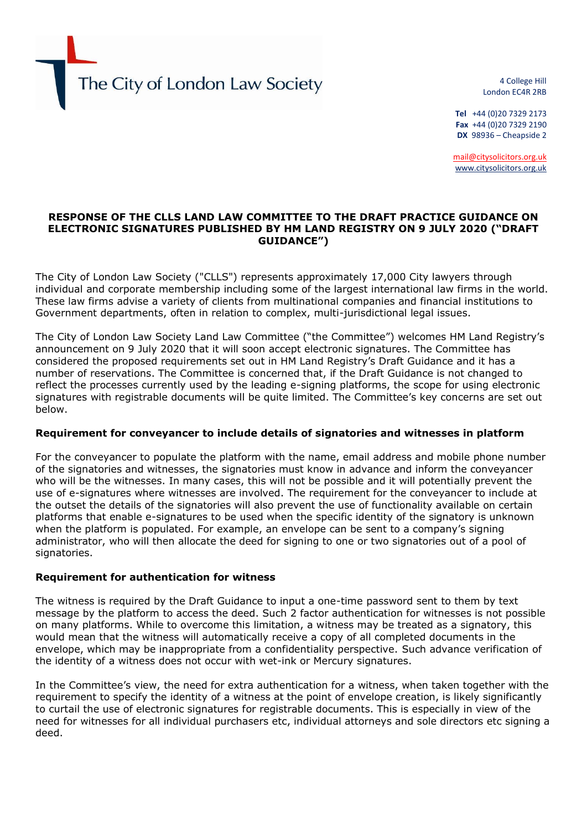The City of London Law Society

4 College Hill London EC4R 2RB

**Tel** +44 (0)20 7329 2173 **Fax** +44 (0)20 7329 2190  **DX** 98936 – Cheapside 2

[mail@citysolicitors.org.uk](mailto:mail@citysolicitors.org.uk) [www.citysolicitors.org.uk](http://www.citysolicitors.org.uk/)

## **RESPONSE OF THE CLLS LAND LAW COMMITTEE TO THE DRAFT PRACTICE GUIDANCE ON ELECTRONIC SIGNATURES PUBLISHED BY HM LAND REGISTRY ON 9 JULY 2020 ("DRAFT GUIDANCE")**

The City of London Law Society ("CLLS") represents approximately 17,000 City lawyers through individual and corporate membership including some of the largest international law firms in the world. These law firms advise a variety of clients from multinational companies and financial institutions to Government departments, often in relation to complex, multi-jurisdictional legal issues.

The City of London Law Society Land Law Committee ("the Committee") welcomes HM Land Registry's announcement on 9 July 2020 that it will soon accept electronic signatures. The Committee has considered the proposed requirements set out in HM Land Registry's Draft Guidance and it has a number of reservations. The Committee is concerned that, if the Draft Guidance is not changed to reflect the processes currently used by the leading e-signing platforms, the scope for using electronic signatures with registrable documents will be quite limited. The Committee's key concerns are set out below.

## **Requirement for conveyancer to include details of signatories and witnesses in platform**

For the conveyancer to populate the platform with the name, email address and mobile phone number of the signatories and witnesses, the signatories must know in advance and inform the conveyancer who will be the witnesses. In many cases, this will not be possible and it will potentially prevent the use of e-signatures where witnesses are involved. The requirement for the conveyancer to include at the outset the details of the signatories will also prevent the use of functionality available on certain platforms that enable e-signatures to be used when the specific identity of the signatory is unknown when the platform is populated. For example, an envelope can be sent to a company's signing administrator, who will then allocate the deed for signing to one or two signatories out of a pool of signatories.

## **Requirement for authentication for witness**

The witness is required by the Draft Guidance to input a one-time password sent to them by text message by the platform to access the deed. Such 2 factor authentication for witnesses is not possible on many platforms. While to overcome this limitation, a witness may be treated as a signatory, this would mean that the witness will automatically receive a copy of all completed documents in the envelope, which may be inappropriate from a confidentiality perspective. Such advance verification of the identity of a witness does not occur with wet-ink or Mercury signatures.

In the Committee's view, the need for extra authentication for a witness, when taken together with the requirement to specify the identity of a witness at the point of envelope creation, is likely significantly to curtail the use of electronic signatures for registrable documents. This is especially in view of the need for witnesses for all individual purchasers etc, individual attorneys and sole directors etc signing a deed.